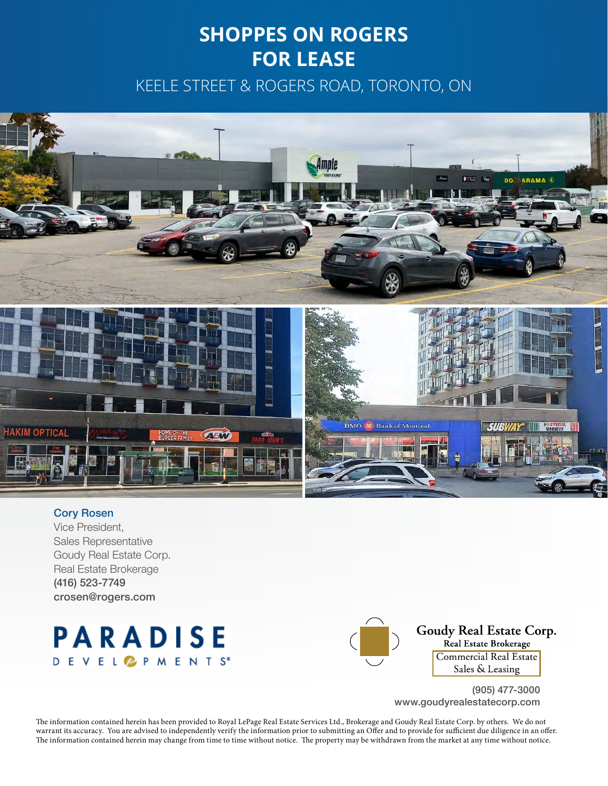## **SHOPPES ON ROGERS FOR LEASE**

KEELE STREET & ROGERS ROAD, TORONTO, ON



#### Cory Rosen

Vice President, Sales Representative Goudy Real Estate Corp. Real Estate Brokerage (416) 523-7749 crosen@rogers.com





Goudy Real Estate Corp. Real Estate Brokerage Commercial Real Estate Sales & Leasing

(905) 477-3000 www.goudyrealestatecorp.com

The information contained herein has been provided to Royal LePage Real Estate Services Ltd., Brokerage and Goudy Real Estate Corp. by others. We do not warrant its accuracy. You are advised to independently verify the information prior to submitting an Offer and to provide for sufficient due diligence in an offer. The information contained herein may change from time to time without notice. The property may be withdrawn from the market at any time without notice.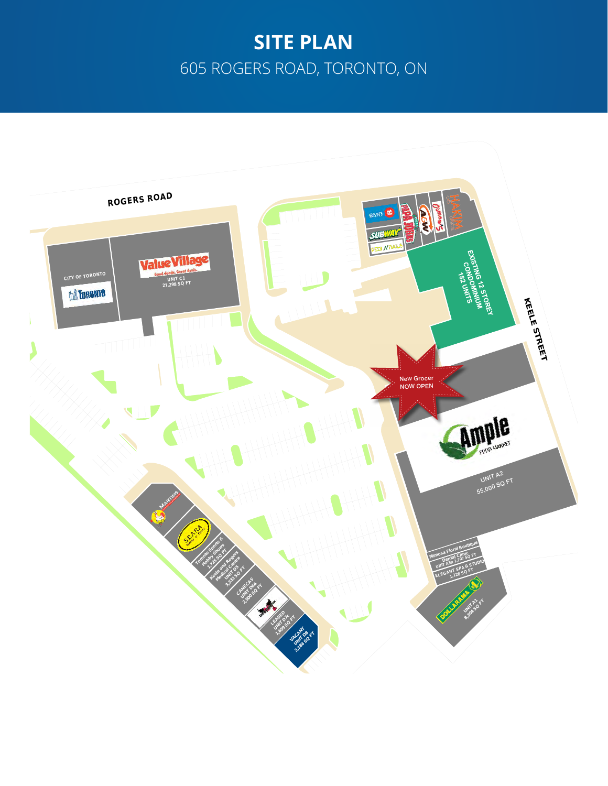## **SITE PLAN** 605 ROGERS ROAD, TORONTO, ON

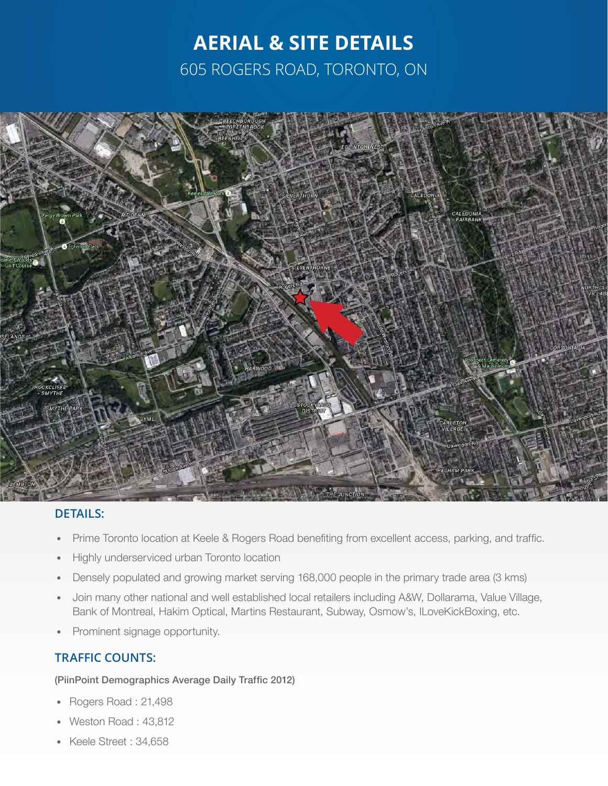## **AERIAL & SITE DETAILS** 605 ROGERS ROAD, TORONTO, ON



### **DETAILS:**

- Prime Toronto location at Keele & Rogers Road benefiting from excellent access, parking, and traffic.
- Highly underserviced urban Toronto location
- Densely populated and growing market serving 168,000 people in the primary trade area (3 kms)
- Join many other national and well established local retailers including A&W, Dollarama, Value Village, Bank of Montreal, Hakim Optical, Martins Restaurant, Subway, Osmow's, ILoveKickBoxing, etc.
- Prominent signage opportunity.

### **TRAFFIC COUNTS:**

#### (PiinPoint Demographics Average Daily Traffic 2012)

- Rogers Road : 21,498
- Weston Road : 43,812
- Keele Street : 34,658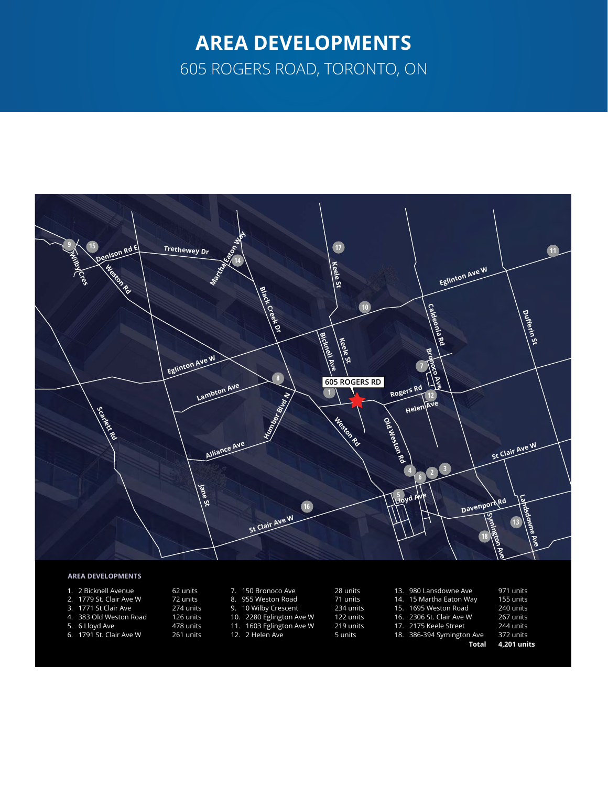# **AREA DEVELOPMENTS**

605 ROGERS ROAD, TORONTO, ON



#### **AREA DEVELOPMENTS**

- 1. 2 Bicknell Avenue
- 2. 1779 St. Clair Ave W
- 3. 1771 St Clair Ave
- 4. 383 Old Weston Road
- 5. 6 Lloyd Ave
- 72 units 274 units

62 units

- 126 units 478 units
- 6. 1791 St. Clair Ave W
- 261 units 8. 955 Weston Road 9. 10 Wilby Crescent
	- 10. 2280 Eglington Ave W 11. 1603 Eglington Ave W

7. 150 Bronoco Ave

- 12. 2 Helen Ave
- 28 units 71 units 234 units 122 units 219 units 5 units
	-
- 13. 980 Lansdowne Ave 14. 15 Martha Eaton Way 15. 1695 Weston Road 16. 2306 St. Clair Ave W 17. 2175 Keele Street 18. 386-394 Symington Ave
- 155 units 240 units 267 units 244 units

971 units

- **Total** 372 units
	- **4,201 units**